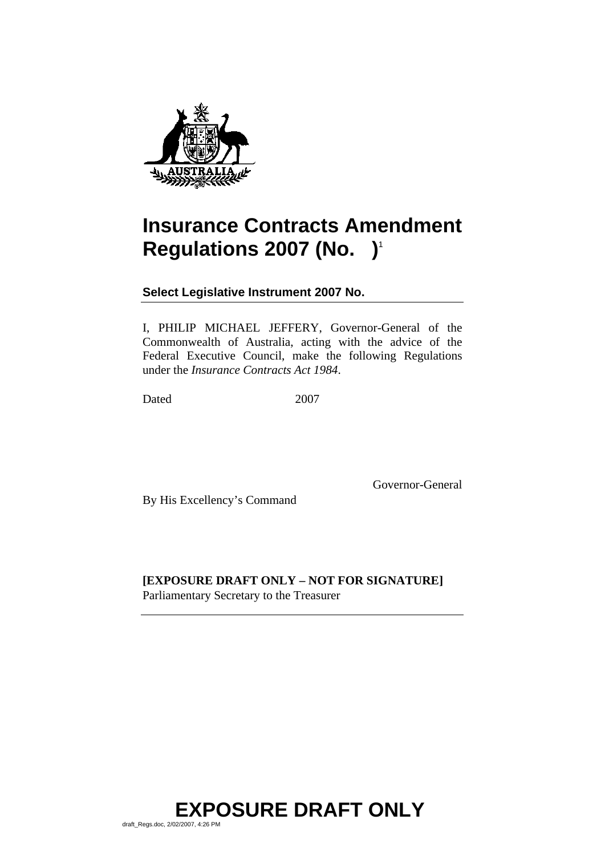

# <span id="page-0-1"></span>**Insurance Contracts Amendment Regulations [2007](#page-0-0) (No. )**<sup>1</sup>

<span id="page-0-0"></span>**Select Legislative Instrument 2007 No.** 

I, PHILIP MICHAEL JEFFERY, Governor-General of the Commonwealth of Australia, acting with the advice of the Federal Executive Council, make the following Regulations under the *Insurance Contracts Act 1984*.

Dated [2007](#page-0-0)

By His Excellency's Command

Governor-General

**[EXPOSURE DRAFT ONLY – NOT FOR SIGNATURE]**  Parliamentary Secretary to the Treasurer

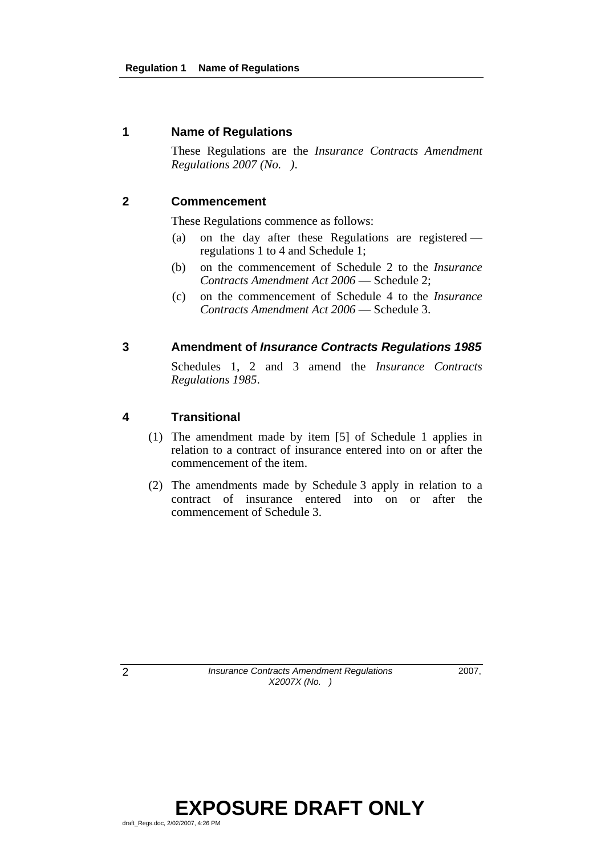## **1 Name of Regulations**

 These Regulations are the *[Insurance Contracts Amendment](#page-0-1)  [Regulations 2007 \(No. \)](#page-0-1)*.

### **2 Commencement**

These Regulations commence as follows:

- (a) on the day after these Regulations are registered regulations 1 to 4 and Schedule 1;
- (b) on the commencement of Schedule 2 to the *Insurance Contracts Amendment Act 2006* — Schedule 2;
- (c) on the commencement of Schedule 4 to the *Insurance Contracts Amendment Act 2006* — Schedule 3.

### **3 Amendment of** *Insurance Contracts Regulations 1985*

 Schedules 1, 2 and 3 amend the *Insurance Contracts Regulations 1985*.

## **4 Transitional**

- (1) The amendment made by item [5] of Schedule 1 applies in relation to a contract of insurance entered into on or after the commencement of the item.
- (2) The amendments made by Schedule 3 apply in relation to a contract of insurance entered into on or after the commencement of Schedule 3.

2 *Insurance Contracts Amendment Regulations X2007X (No. )* 

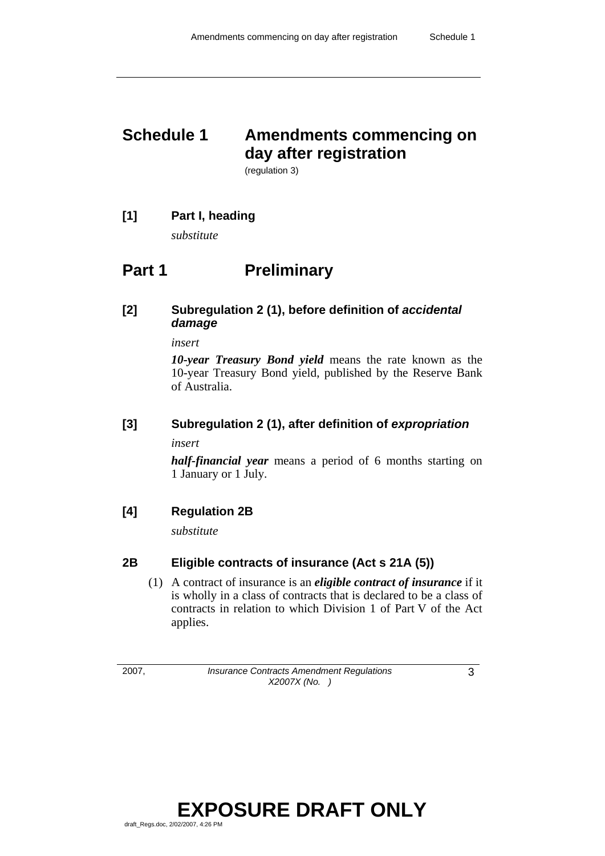# **Schedule 1 Amendments commencing on day after registration**

(regulation 3)

## **[1] Part I, heading**

*substitute* 

## **Part 1** Preliminary

## **[2] Subregulation 2 (1), before definition of** *accidental damage*

*insert* 

*10-year Treasury Bond yield* means the rate known as the 10-year Treasury Bond yield, published by the Reserve Bank of Australia.

## **[3] Subregulation 2 (1), after definition of** *expropriation*

*insert* 

*half-financial year* means a period of 6 months starting on 1 January or 1 July.

## **[4] Regulation 2B**

*substitute* 

## **2B Eligible contracts of insurance (Act s 21A (5))**

 (1) A contract of insurance is an *eligible contract of insurance* if it is wholly in a class of contracts that is declared to be a class of contracts in relation to which Division 1 of Part V of the Act applies.

2007, *Insurance Contracts Amendment Regulations X2007X (No. )* 

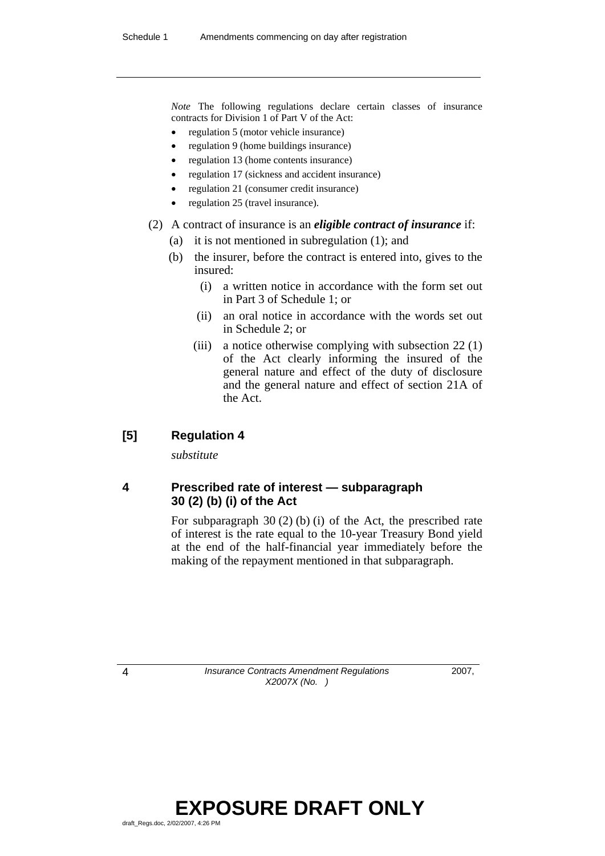*Note* The following regulations declare certain classes of insurance contracts for Division 1 of Part V of the Act:

- regulation 5 (motor vehicle insurance)
- regulation 9 (home buildings insurance)
- regulation 13 (home contents insurance)
- regulation 17 (sickness and accident insurance)
- regulation 21 (consumer credit insurance)
- regulation 25 (travel insurance).

### (2) A contract of insurance is an *eligible contract of insurance* if:

- (a) it is not mentioned in subregulation (1); and
- (b) the insurer, before the contract is entered into, gives to the insured:
	- (i) a written notice in accordance with the form set out in Part 3 of Schedule 1; or
	- (ii) an oral notice in accordance with the words set out in Schedule 2; or
	- (iii) a notice otherwise complying with subsection 22 (1) of the Act clearly informing the insured of the general nature and effect of the duty of disclosure and the general nature and effect of section 21A of the Act.

## **[5] Regulation 4**

*substitute* 

## **4 Prescribed rate of interest — subparagraph 30 (2) (b) (i) of the Act**

 For subparagraph 30 (2) (b) (i) of the Act, the prescribed rate of interest is the rate equal to the 10-year Treasury Bond yield at the end of the half-financial year immediately before the making of the repayment mentioned in that subparagraph.

4 *Insurance Contracts Amendment Regulations X2007X (No. )* 

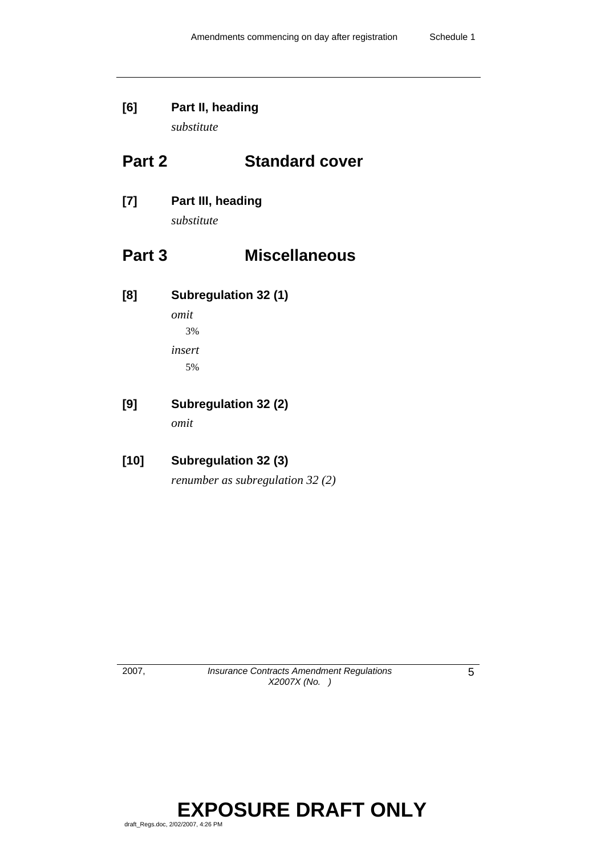# **[6] Part II, heading**

*substitute* 

## **Part 2 Standard cover**

## **[7] Part III, heading**

*substitute* 

## **Part 3 Miscellaneous**

**[8] Subregulation 32 (1)** 

*omit*  3% *insert*  5%

## **[9] Subregulation 32 (2)**

*omit* 

## **[10] Subregulation 32 (3)**

*renumber as subregulation 32 (2)* 

2007, *Insurance Contracts Amendment Regulations X2007X (No. )* 

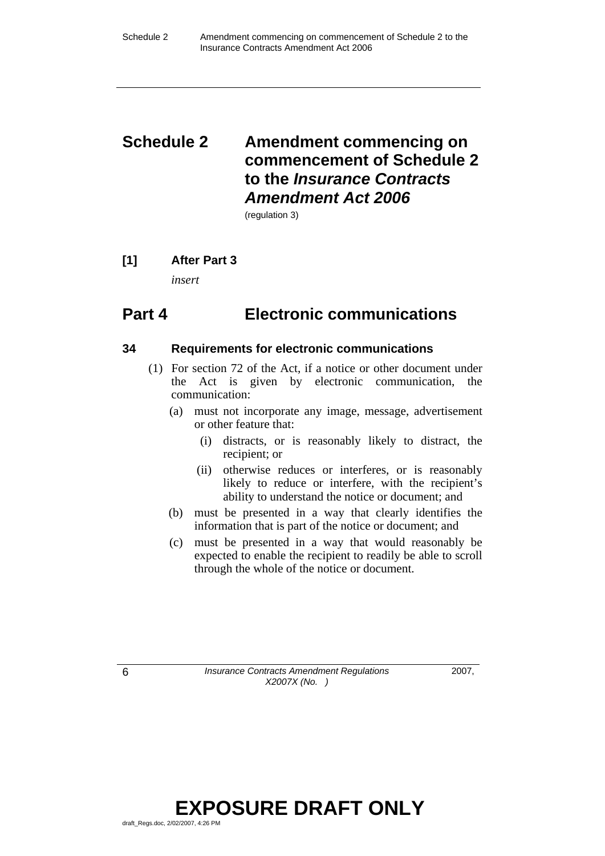## **Schedule 2 Amendment commencing on commencement of Schedule 2 to the** *Insurance Contracts Amendment Act 2006*

(regulation 3)

## **[1] After Part 3**

*insert* 

## **Part 4 Electronic communications**

## **34 Requirements for electronic communications**

- (1) For section 72 of the Act, if a notice or other document under the Act is given by electronic communication, the communication:
	- (a) must not incorporate any image, message, advertisement or other feature that:
		- (i) distracts, or is reasonably likely to distract, the recipient; or
		- (ii) otherwise reduces or interferes, or is reasonably likely to reduce or interfere, with the recipient's ability to understand the notice or document; and
	- (b) must be presented in a way that clearly identifies the information that is part of the notice or document; and
	- (c) must be presented in a way that would reasonably be expected to enable the recipient to readily be able to scroll through the whole of the notice or document.

6 *Insurance Contracts Amendment Regulations X2007X (No. )* 

2007,

## **EXPOSURE DRAFT ONLY**  draft\_Regs.doc, 2/02/2007, 4:26 PM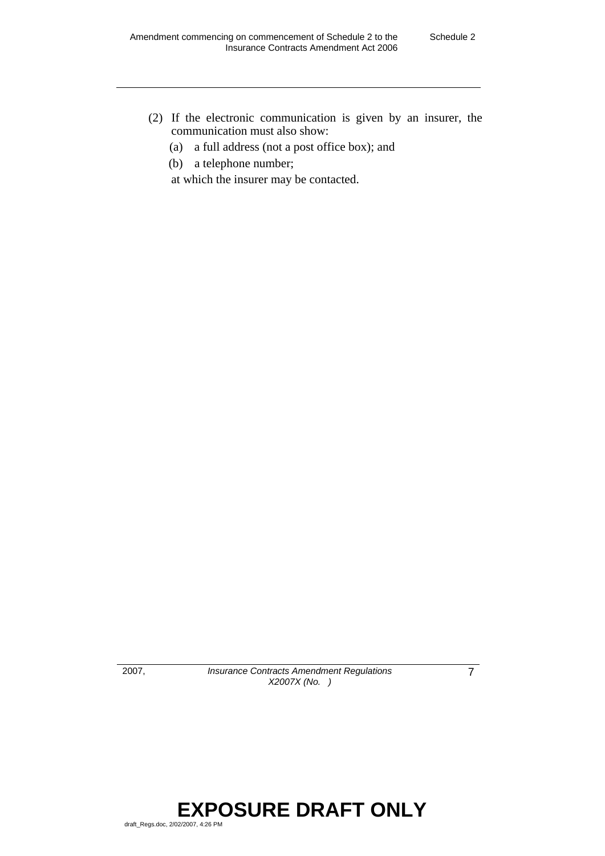- (2) If the electronic communication is given by an insurer, the communication must also show:
	- (a) a full address (not a post office box); and
	- (b) a telephone number;

at which the insurer may be contacted.

2007, *Insurance Contracts Amendment Regulations X2007X (No. )* 

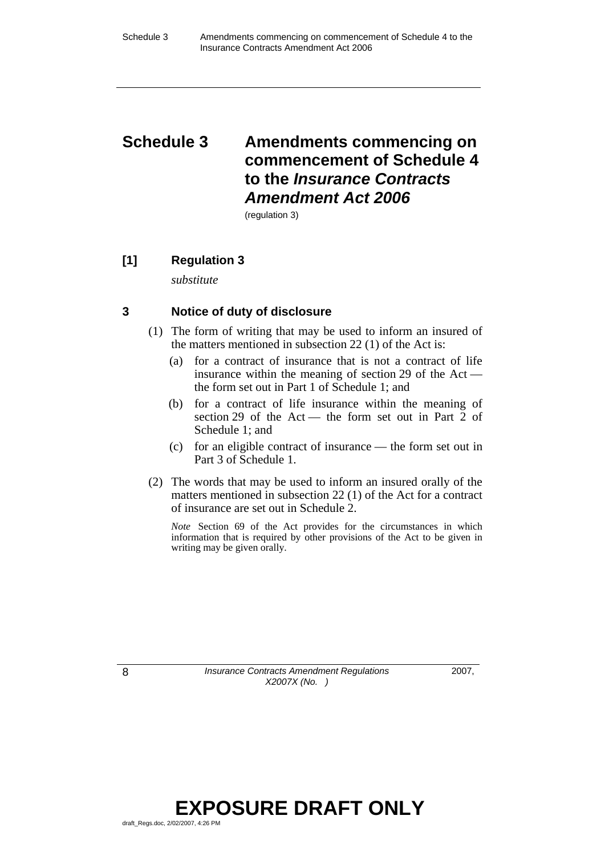## **Schedule 3 Amendments commencing on commencement of Schedule 4 to the** *Insurance Contracts Amendment Act 2006*

(regulation 3)

## **[1] Regulation 3**

*substitute* 

## **3 Notice of duty of disclosure**

- (1) The form of writing that may be used to inform an insured of the matters mentioned in subsection 22 (1) of the Act is:
	- (a) for a contract of insurance that is not a contract of life insurance within the meaning of section 29 of the Act the form set out in Part 1 of Schedule 1; and
	- (b) for a contract of life insurance within the meaning of section 29 of the Act — the form set out in Part 2 of Schedule 1; and
	- (c) for an eligible contract of insurance the form set out in Part 3 of Schedule 1.
- (2) The words that may be used to inform an insured orally of the matters mentioned in subsection 22 (1) of the Act for a contract of insurance are set out in Schedule 2.

*Note* Section 69 of the Act provides for the circumstances in which information that is required by other provisions of the Act to be given in writing may be given orally.

8 *Insurance Contracts Amendment Regulations X2007X (No. )* 

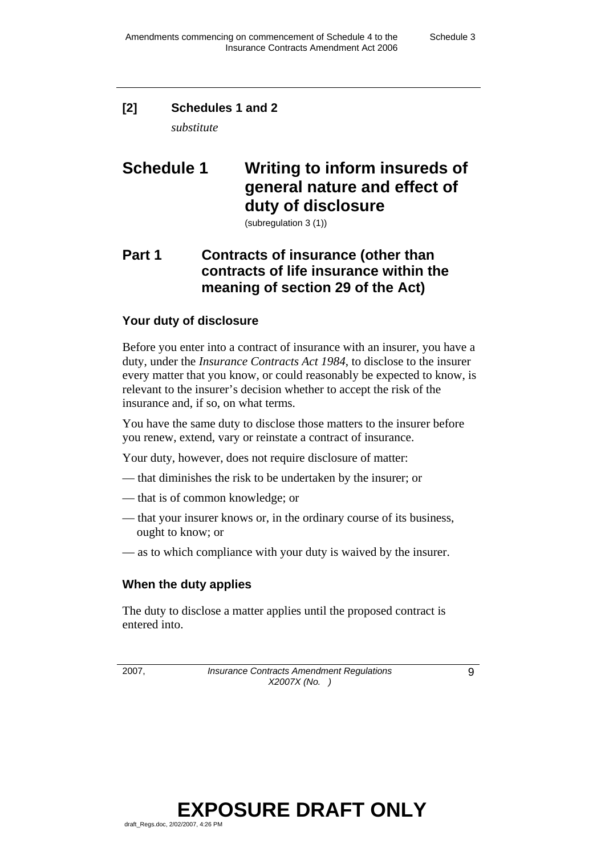## **[2] Schedules 1 and 2**

*substitute* 

## **Schedule 1 Writing to inform insureds of general nature and effect of duty of disclosure**

(subregulation 3 (1))

## **Part 1 Contracts of insurance (other than contracts of life insurance within the meaning of section 29 of the Act)**

## **Your duty of disclosure**

Before you enter into a contract of insurance with an insurer, you have a duty, under the *Insurance Contracts Act 1984*, to disclose to the insurer every matter that you know, or could reasonably be expected to know, is relevant to the insurer's decision whether to accept the risk of the insurance and, if so, on what terms.

You have the same duty to disclose those matters to the insurer before you renew, extend, vary or reinstate a contract of insurance.

Your duty, however, does not require disclosure of matter:

- that diminishes the risk to be undertaken by the insurer; or
- that is of common knowledge; or
- that your insurer knows or, in the ordinary course of its business, ought to know; or
- as to which compliance with your duty is waived by the insurer.

## **When the duty applies**

The duty to disclose a matter applies until the proposed contract is entered into.

2007, *Insurance Contracts Amendment Regulations X2007X (No. )* 

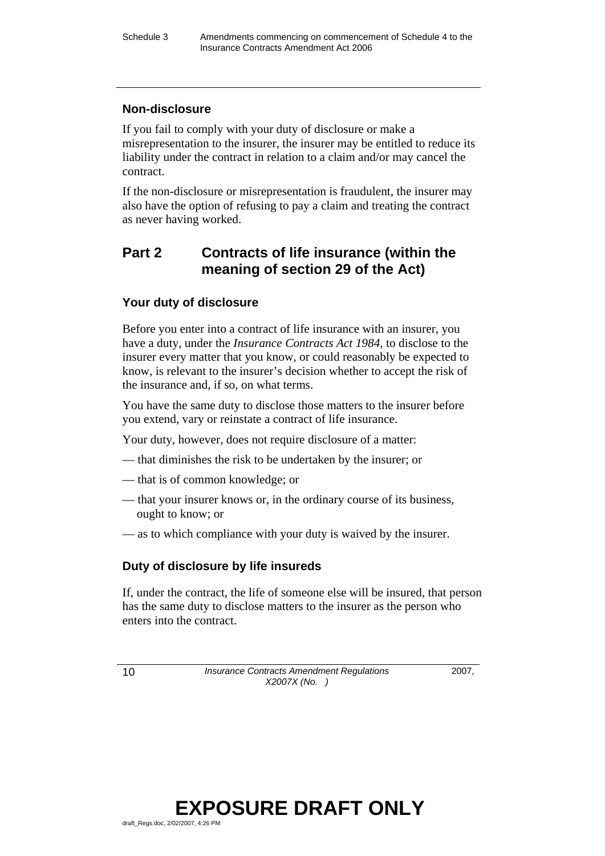## **Non-disclosure**

If you fail to comply with your duty of disclosure or make a misrepresentation to the insurer, the insurer may be entitled to reduce its liability under the contract in relation to a claim and/or may cancel the contract.

If the non-disclosure or misrepresentation is fraudulent, the insurer may also have the option of refusing to pay a claim and treating the contract as never having worked.

## **Part 2 Contracts of life insurance (within the meaning of section 29 of the Act)**

## **Your duty of disclosure**

Before you enter into a contract of life insurance with an insurer, you have a duty, under the *Insurance Contracts Act 1984*, to disclose to the insurer every matter that you know, or could reasonably be expected to know, is relevant to the insurer's decision whether to accept the risk of the insurance and, if so, on what terms.

You have the same duty to disclose those matters to the insurer before you extend, vary or reinstate a contract of life insurance.

Your duty, however, does not require disclosure of a matter:

- that diminishes the risk to be undertaken by the insurer; or
- that is of common knowledge; or
- that your insurer knows or, in the ordinary course of its business, ought to know; or
- as to which compliance with your duty is waived by the insurer.

## **Duty of disclosure by life insureds**

If, under the contract, the life of someone else will be insured, that person has the same duty to disclose matters to the insurer as the person who enters into the contract.

10 *Insurance Contracts Amendment Regulations X2007X (No. )* 

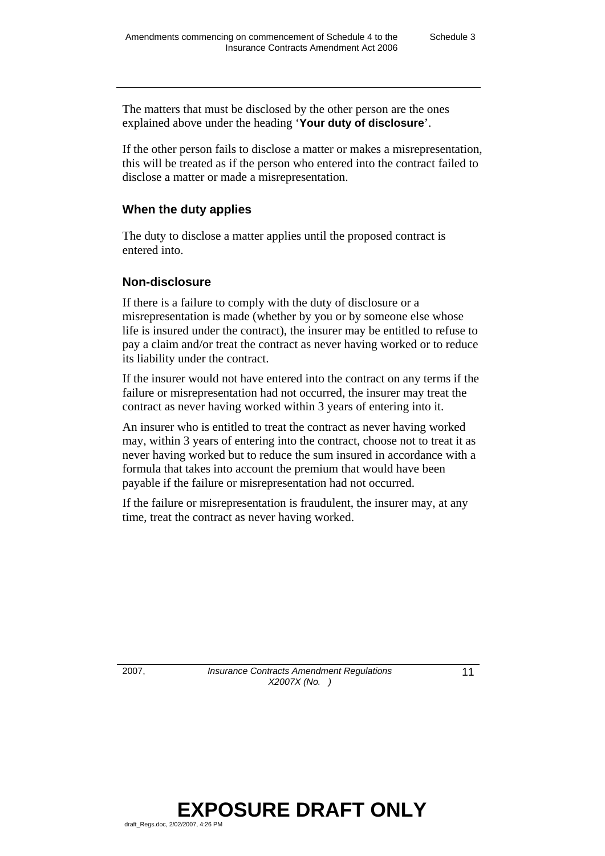The matters that must be disclosed by the other person are the ones explained above under the heading '**Your duty of disclosure**'.

If the other person fails to disclose a matter or makes a misrepresentation, this will be treated as if the person who entered into the contract failed to disclose a matter or made a misrepresentation.

### **When the duty applies**

The duty to disclose a matter applies until the proposed contract is entered into.

### **Non-disclosure**

If there is a failure to comply with the duty of disclosure or a misrepresentation is made (whether by you or by someone else whose life is insured under the contract), the insurer may be entitled to refuse to pay a claim and/or treat the contract as never having worked or to reduce its liability under the contract.

If the insurer would not have entered into the contract on any terms if the failure or misrepresentation had not occurred, the insurer may treat the contract as never having worked within 3 years of entering into it.

An insurer who is entitled to treat the contract as never having worked may, within 3 years of entering into the contract, choose not to treat it as never having worked but to reduce the sum insured in accordance with a formula that takes into account the premium that would have been payable if the failure or misrepresentation had not occurred.

If the failure or misrepresentation is fraudulent, the insurer may, at any time, treat the contract as never having worked.

2007, *Insurance Contracts Amendment Regulations X2007X (No. )* 

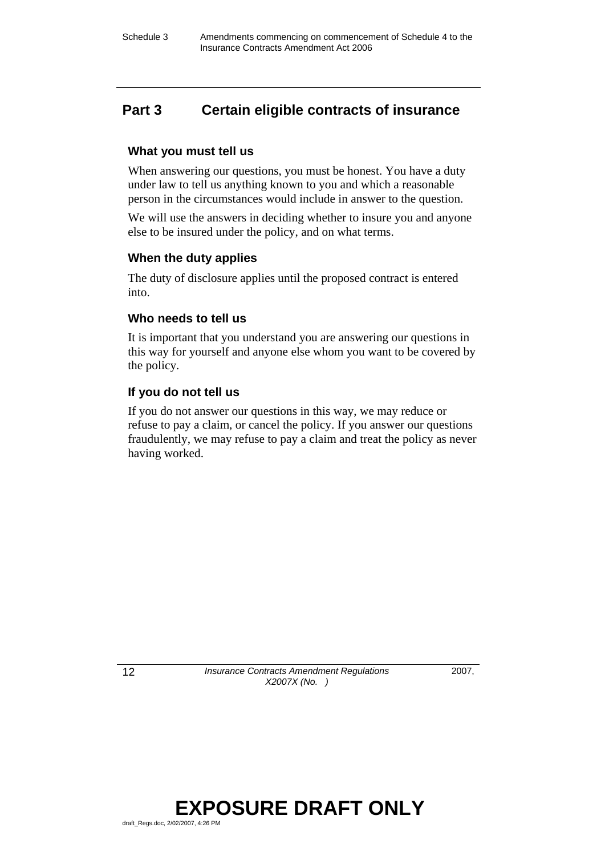## **Part 3 Certain eligible contracts of insurance**

### **What you must tell us**

When answering our questions, you must be honest. You have a duty under law to tell us anything known to you and which a reasonable person in the circumstances would include in answer to the question.

We will use the answers in deciding whether to insure you and anyone else to be insured under the policy, and on what terms.

### **When the duty applies**

The duty of disclosure applies until the proposed contract is entered into.

## **Who needs to tell us**

It is important that you understand you are answering our questions in this way for yourself and anyone else whom you want to be covered by the policy.

### **If you do not tell us**

If you do not answer our questions in this way, we may reduce or refuse to pay a claim, or cancel the policy. If you answer our questions fraudulently, we may refuse to pay a claim and treat the policy as never having worked.

12 *Insurance Contracts Amendment Regulations X2007X (No. )*